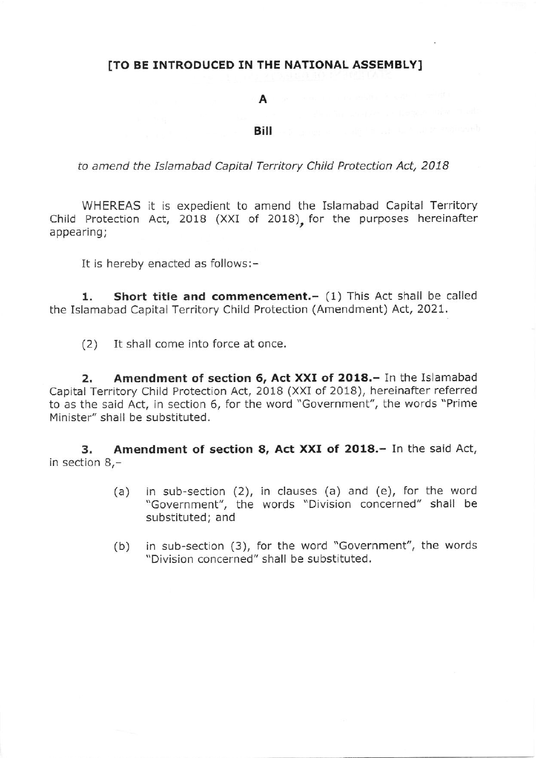## ITO BE INTRODUCED IN THE NATIONAL ASSEMBLY]

A

**Bill** 

to amend the Islamabad Capital Territory Child Protection Act, 2018

WHEREAS it is expedient to amend the Islamabad Capital Territory Child Protection Act, 2018 (XXI of 2018), for the purposes hereinafter appearing;

It is hereby enacted as follows:-

**1.** Short title and commencement. $-$  (1) This Act shall be called the Islamabad Capital Territory Child Protection (Amendment) Act, 2021.

(2) It shall come into force at once.

2. Amendment of section 6, Act XXI of 2018.- In the Islamabad Capital Territory Child Protection Act, 2018 (XXI of 2018), hereinafter referred to as the said Act, in section 6, for the word "Government", the words "Prime Minister" shall be substituted.

3, Amendment of section 8, Act XXI of 2018.- In the said Act, in section B,-

- (a) in sub-section (2), in ciauses (a) and (e), for the word "Government", the words "Division concerned" shall be substituted; and
- (b) in sub-section (3), for the word "Government", the words "Division concerned" shall be substituted.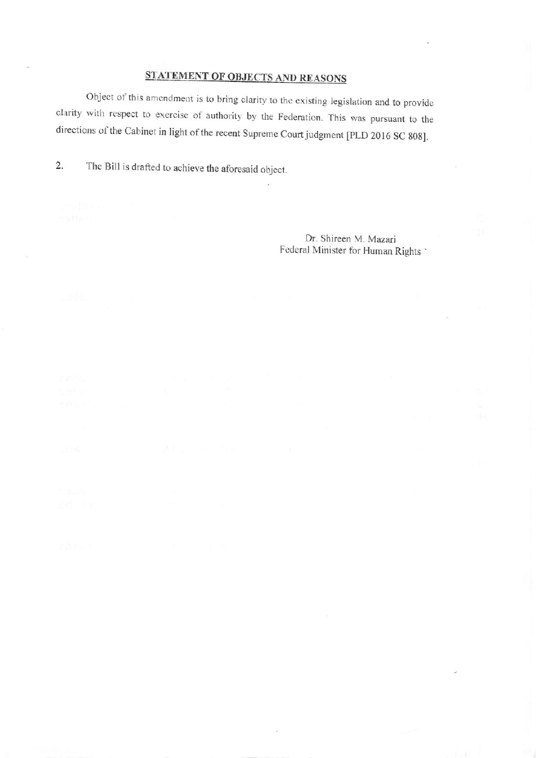## STATEMENT OF OBJECTS AND REASONS

Object of this amendment is to bring clarity to the existing legislation and to provide clarity with respect to exercise of authority by the Federation. This was pursuant to the directions of the Cabinet in light of the recent Supreme Court judgment [PLD 2016 SC 808].

The Bill is drafted to achieve the aforesaid object.  $\overline{2}$ .

> Dr. Shireen M. Mazari Federal Minister for Human Rights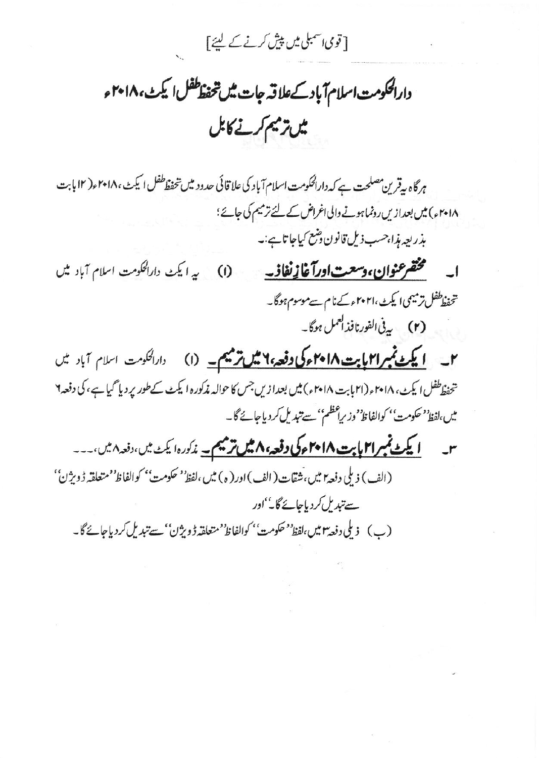[قوی اسمبلی میں پیش کرنے کے لیئے]

دارالحكومت اسلام آبادك علاقه جات ميس تحفظ طفل اليكث، ٢٠١٨ء میں ترمیم کرنے کابل

ہر گاہ بہ قرین مصلحت ہے کہ دارالحکومت اسلام آباد کی علا قائی حدود میں تحفظ طفل ایکٹ ، ۲۰۱۸ء( ۱۲ بابت ۲۰۱۸ء) میں بعدازیں رونماہونے والی اغراض کے لئے ترمیم کی جائے؛ بذريعه بذا،حسب ذيل قانون دشع كياجا تا ہے:۔ ا۔ گھشخشوان،وسعت اورآغازیفاذ۔ به ایکٹ دارالحکومت اسلام آباد میں  $\bigcirc$ تحفظ طفل ترمیمی ایکٹ،۲۰۲۱ء کے نام سےموسوم ہوگا۔ (۲) رفی الفورنافذال<sup>عمل</sup> ہوگا۔ ۲۔ ایکٹ نمبر ۲۱ مایت ۲۰۱۸ مرکی وقعہ ۲ میں ترمیم۔ (۱) دارالحکومت اسلام آباد میں تحفظ طفل ایکٹ، ۲۰۱۸ء (۲۱ بابت ۲۰۱۸ء) میں بعدازیں جس کا حوالہ مذکورہ ایکٹ کے طور پر دیا گیا ہے، کی دفعہ ۲ میں،لفظ' حکومت'' کوالفاظ' وزیراعظم'' سےتبدیل کر دیاجائے گا۔ <mark>ایکٹ نمبر ا۲ بابت ۲۰۱۸ء کی دفعہ ۸.ش ترمیم۔</mark> مذکورہ ایکٹ میں،دفعہ ۸ میں،۔۔۔

(الف) ذيلي دفعه ٢ مين، شقات ( الف) اور ( ه ) مين ،لفظ<sup>و د</sup> حكومت<sup>؛ م</sup>كوالفاظ<sup>و د</sup> متعلقه ڈ ويژن'' سے تبدیل کردیاجائے گا۔''اور (ب) زىلى دفعة ٢ مين لفظ<sup>ور</sup> حكومت<sup>؛</sup> كوالفاظ<sup>ور</sup> متعلقه ڈويژن' سے تبدیل كردیاجائےگا۔